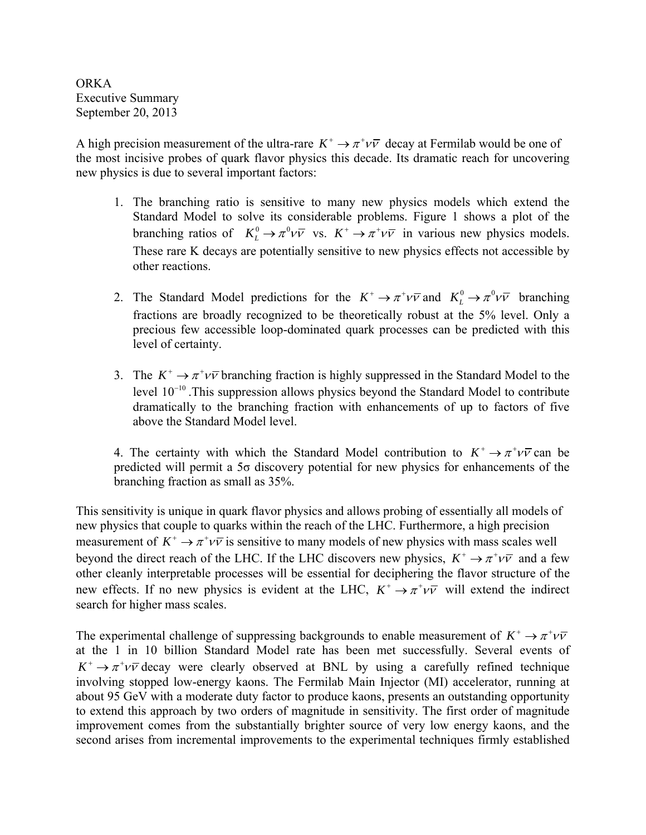ORKA Executive Summary September 20, 2013

A high precision measurement of the ultra-rare  $K^+ \rightarrow \pi^+ \nu \bar{\nu}$  decay at Fermilab would be one of the most incisive probes of quark flavor physics this decade. Its dramatic reach for uncovering new physics is due to several important factors:

- 1. The branching ratio is sensitive to many new physics models which extend the Standard Model to solve its considerable problems. Figure 1 shows a plot of the branching ratios of  $K_L^0 \to \pi^0 \nu \bar{\nu}$  vs.  $K^+ \to \pi^+ \nu \bar{\nu}$  in various new physics models. These rare K decays are potentially sensitive to new physics effects not accessible by other reactions.
- 2. The Standard Model predictions for the  $K^+ \to \pi^+ \nu \bar{\nu}$  and  $K^0 \to \pi^0 \nu \bar{\nu}$  branching fractions are broadly recognized to be theoretically robust at the 5% level. Only a precious few accessible loop-dominated quark processes can be predicted with this level of certainty.
- 3. The  $K^+ \rightarrow \pi^+ \nu \bar{\nu}$  branching fraction is highly suppressed in the Standard Model to the level  $10^{-10}$ . This suppression allows physics beyond the Standard Model to contribute dramatically to the branching fraction with enhancements of up to factors of five above the Standard Model level.

4. The certainty with which the Standard Model contribution to  $K^+ \rightarrow \pi^+ \nu \bar{\nu}$  can be predicted will permit a  $5\sigma$  discovery potential for new physics for enhancements of the branching fraction as small as 35%.

This sensitivity is unique in quark flavor physics and allows probing of essentially all models of new physics that couple to quarks within the reach of the LHC. Furthermore, a high precision measurement of  $K^+ \to \pi^+ \nu \bar{\nu}$  is sensitive to many models of new physics with mass scales well beyond the direct reach of the LHC. If the LHC discovers new physics,  $K^+ \rightarrow \pi^+ \nu \bar{\nu}$  and a few other cleanly interpretable processes will be essential for deciphering the flavor structure of the new effects. If no new physics is evident at the LHC,  $K^+ \rightarrow \pi^+ \nu \bar{\nu}$  will extend the indirect search for higher mass scales.

The experimental challenge of suppressing backgrounds to enable measurement of  $K^+ \rightarrow \pi^+ \nu \bar{\nu}$ at the 1 in 10 billion Standard Model rate has been met successfully. Several events of  $K^+ \rightarrow \pi^+ \nu \bar{\nu}$  decay were clearly observed at BNL by using a carefully refined technique involving stopped low-energy kaons. The Fermilab Main Injector (MI) accelerator, running at about 95 GeV with a moderate duty factor to produce kaons, presents an outstanding opportunity to extend this approach by two orders of magnitude in sensitivity. The first order of magnitude improvement comes from the substantially brighter source of very low energy kaons, and the second arises from incremental improvements to the experimental techniques firmly established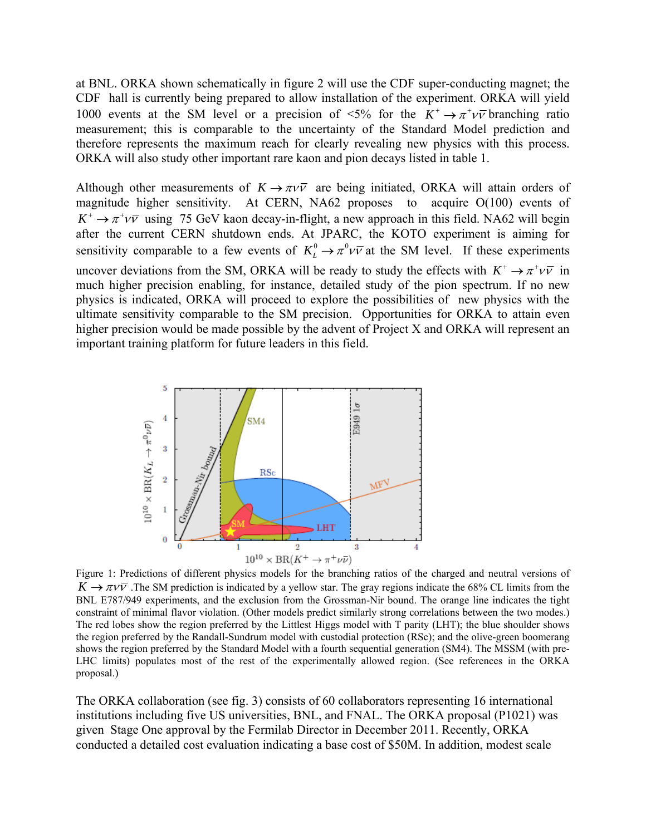at BNL. ORKA shown schematically in figure 2 will use the CDF super-conducting magnet; the CDF hall is currently being prepared to allow installation of the experiment. ORKA will yield 1000 events at the SM level or a precision of  $\leq 5\%$  for the  $K^+ \rightarrow \pi^+ \nu \bar{\nu}$  branching ratio measurement; this is comparable to the uncertainty of the Standard Model prediction and therefore represents the maximum reach for clearly revealing new physics with this process. ORKA will also study other important rare kaon and pion decays listed in table 1.

Although other measurements of  $K \rightarrow \pi V \bar{V}$  are being initiated, ORKA will attain orders of magnitude higher sensitivity. At CERN, NA62 proposes to acquire O(100) events of  $K^+ \rightarrow \pi^+ \nu \bar{\nu}$  using 75 GeV kaon decay-in-flight, a new approach in this field. NA62 will begin after the current CERN shutdown ends. At JPARC, the KOTO experiment is aiming for sensitivity comparable to a few events of  $K^0_L \to \pi^0 \nu \bar{\nu}$  at the SM level. If these experiments uncover deviations from the SM, ORKA will be ready to study the effects with  $K^+ \rightarrow \pi^+ \nu \bar{\nu}$  in much higher precision enabling, for instance, detailed study of the pion spectrum. If no new physics is indicated, ORKA will proceed to explore the possibilities of new physics with the ultimate sensitivity comparable to the SM precision. Opportunities for ORKA to attain even higher precision would be made possible by the advent of Project X and ORKA will represent an important training platform for future leaders in this field.



Figure 1: Predictions of different physics models for the branching ratios of the charged and neutral versions of  $K \to \pi \nu \bar{\nu}$ . The SM prediction is indicated by a yellow star. The gray regions indicate the 68% CL limits from the BNL E787/949 experiments, and the exclusion from the Grossman-Nir bound. The orange line indicates the tight constraint of minimal flavor violation. (Other models predict similarly strong correlations between the two modes.) The red lobes show the region preferred by the Littlest Higgs model with T parity (LHT); the blue shoulder shows the region preferred by the Randall-Sundrum model with custodial protection (RSc); and the olive-green boomerang shows the region preferred by the Standard Model with a fourth sequential generation (SM4). The MSSM (with pre-LHC limits) populates most of the rest of the experimentally allowed region. (See references in the ORKA proposal.)

The ORKA collaboration (see fig. 3) consists of 60 collaborators representing 16 international institutions including five US universities, BNL, and FNAL. The ORKA proposal (P1021) was given Stage One approval by the Fermilab Director in December 2011. Recently, ORKA conducted a detailed cost evaluation indicating a base cost of \$50M. In addition, modest scale